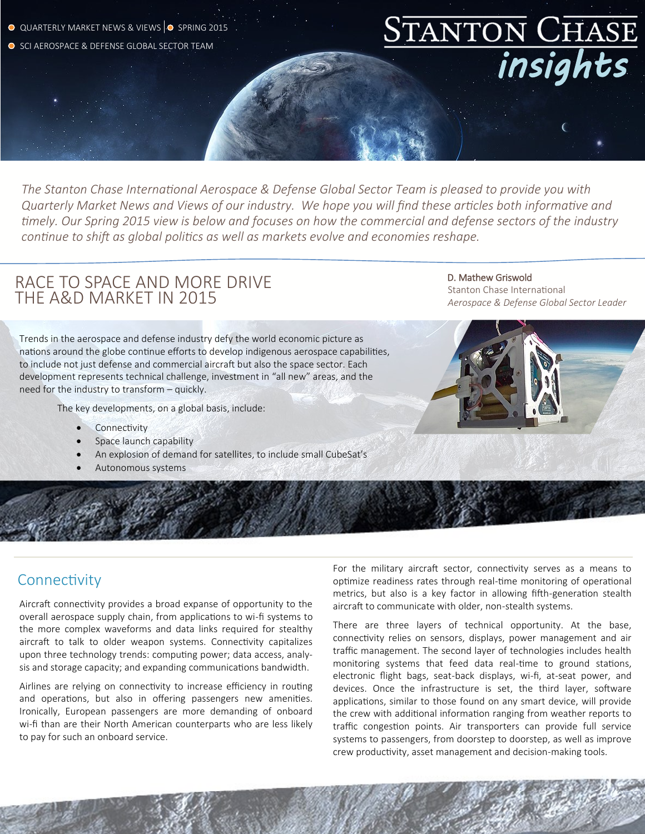- Q QUARTERLY MARKET NEWS & VIEWS O SPRING 2015
- O SCI AEROSPACE & DEFENSE GLOBAL SECTOR TEAM

*The Stanton Chase International Aerospace & Defense Global Sector Team is pleased to provide you with Quarterly Market News and Views of our industry. We hope you will find these articles both informative and timely. Our Spring 2015 view is below and focuses on how the commercial and defense sectors of the industry continue to shift as global politics as well as markets evolve and economies reshape.*

# RACE TO SPACE AND MORE DRIVE THE A&D MARKET IN 2015

 D. Mathew Griswold Stanton Chase International *Aerospace & Defense Global Sector Leader*

*insights* 

Trends in the aerospace and defense industry defy the world economic picture as nations around the globe continue efforts to develop indigenous aerospace capabilities, to include not just defense and commercial aircraft but also the space sector. Each development represents technical challenge, investment in "all new" areas, and the need for the industry to transform – quickly.

The key developments, on a global basis, include:

- Connectivity
- Space launch capability
- An explosion of demand for satellites, to include small CubeSat's
- Autonomous systems



### **Connectivity**

Aircraft connectivity provides a broad expanse of opportunity to the overall aerospace supply chain, from applications to wi-fi systems to the more complex waveforms and data links required for stealthy aircraft to talk to older weapon systems. Connectivity capitalizes upon three technology trends: computing power; data access, analysis and storage capacity; and expanding communications bandwidth.

Airlines are relying on connectivity to increase efficiency in routing and operations, but also in offering passengers new amenities. Ironically, European passengers are more demanding of onboard wi-fi than are their North American counterparts who are less likely to pay for such an onboard service.

For the military aircraft sector, connectivity serves as a means to optimize readiness rates through real-time monitoring of operational metrics, but also is a key factor in allowing fifth-generation stealth aircraft to communicate with older, non-stealth systems.

There are three layers of technical opportunity. At the base, connectivity relies on sensors, displays, power management and air traffic management. The second layer of technologies includes health monitoring systems that feed data real-time to ground stations, electronic flight bags, seat-back displays, wi-fi, at-seat power, and devices. Once the infrastructure is set, the third layer, software applications, similar to those found on any smart device, will provide the crew with additional information ranging from weather reports to traffic congestion points. Air transporters can provide full service systems to passengers, from doorstep to doorstep, as well as improve crew productivity, asset management and decision-making tools.